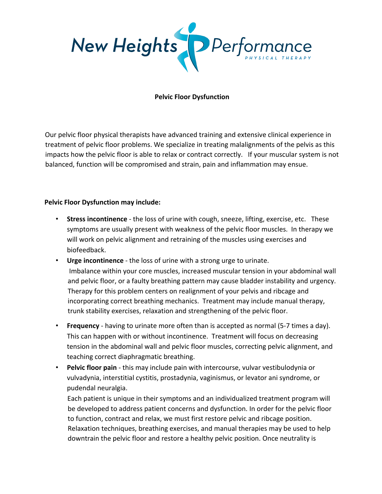

## **Pelvic Floor Dysfunction**

Our pelvic floor physical therapists have advanced training and extensive clinical experience in treatment of pelvic floor problems. We specialize in treating malalignments of the pelvis as this impacts how the pelvic floor is able to relax or contract correctly. If your muscular system is not balanced, function will be compromised and strain, pain and inflammation may ensue.

## **Pelvic Floor Dysfunction may include:**

- **Stress incontinence** the loss of urine with cough, sneeze, lifting, exercise, etc. These symptoms are usually present with weakness of the pelvic floor muscles. In therapy we will work on pelvic alignment and retraining of the muscles using exercises and biofeedback.
- **Urge incontinence** the loss of urine with a strong urge to urinate. Imbalance within your core muscles, increased muscular tension in your abdominal wall and pelvic floor, or a faulty breathing pattern may cause bladder instability and urgency. Therapy for this problem centers on realignment of your pelvis and ribcage and incorporating correct breathing mechanics. Treatment may include manual therapy, trunk stability exercises, relaxation and strengthening of the pelvic floor.
- **Frequency** having to urinate more often than is accepted as normal (5-7 times a day). This can happen with or without incontinence. Treatment will focus on decreasing tension in the abdominal wall and pelvic floor muscles, correcting pelvic alignment, and teaching correct diaphragmatic breathing.
- **Pelvic floor pain** this may include pain with intercourse, vulvar vestibulodynia or vulvadynia, interstitial cystitis, prostadynia, vaginismus, or levator ani syndrome, or pudendal neuralgia.

Each patient is unique in their symptoms and an individualized treatment program will be developed to address patient concerns and dysfunction. In order for the pelvic floor to function, contract and relax, we must first restore pelvic and ribcage position. Relaxation techniques, breathing exercises, and manual therapies may be used to help downtrain the pelvic floor and restore a healthy pelvic position. Once neutrality is